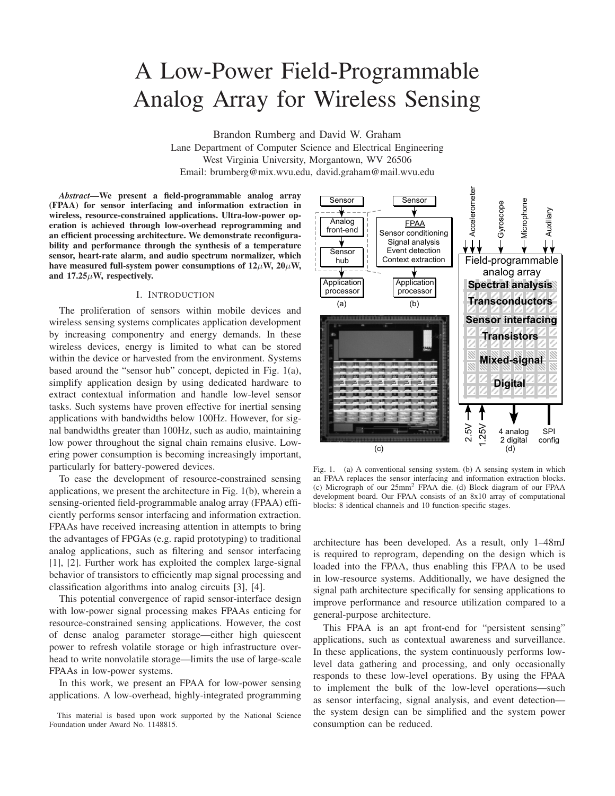# A Low-Power Field-Programmable Analog Array for Wireless Sensing

Brandon Rumberg and David W. Graham Lane Department of Computer Science and Electrical Engineering West Virginia University, Morgantown, WV 26506 Email: brumberg@mix.wvu.edu, david.graham@mail.wvu.edu

*Abstract***—We present a field-programmable analog array (FPAA) for sensor interfacing and information extraction in wireless, resource-constrained applications. Ultra-low-power operation is achieved through low-overhead reprogramming and an efficient processing architecture. We demonstrate reconfigurability and performance through the synthesis of a temperature sensor, heart-rate alarm, and audio spectrum normalizer, which** have measured full-system power consumptions of  $12\mu$ W,  $20\mu$ W, **and 17.25W, respectively.**

### I. INTRODUCTION

The proliferation of sensors within mobile devices and wireless sensing systems complicates application development by increasing componentry and energy demands. In these wireless devices, energy is limited to what can be stored within the device or harvested from the environment. Systems based around the "sensor hub" concept, depicted in Fig. 1(a), simplify application design by using dedicated hardware to extract contextual information and handle low-level sensor tasks. Such systems have proven effective for inertial sensing applications with bandwidths below 100Hz. However, for signal bandwidths greater than 100Hz, such as audio, maintaining low power throughout the signal chain remains elusive. Lowering power consumption is becoming increasingly important, particularly for battery-powered devices.

To ease the development of resource-constrained sensing applications, we present the architecture in Fig. 1(b), wherein a sensing-oriented field-programmable analog array (FPAA) efficiently performs sensor interfacing and information extraction. FPAAs have received increasing attention in attempts to bring the advantages of FPGAs (e.g. rapid prototyping) to traditional analog applications, such as filtering and sensor interfacing [1], [2]. Further work has exploited the complex large-signal behavior of transistors to efficiently map signal processing and classification algorithms into analog circuits [3], [4].

This potential convergence of rapid sensor-interface design with low-power signal processing makes FPAAs enticing for resource-constrained sensing applications. However, the cost of dense analog parameter storage—either high quiescent power to refresh volatile storage or high infrastructure overhead to write nonvolatile storage—limits the use of large-scale FPAAs in low-power systems.

In this work, we present an FPAA for low-power sensing applications. A low-overhead, highly-integrated programming

This material is based upon work supported by the National Science Foundation under Award No. 1148815.



Fig. 1. (a) A conventional sensing system. (b) A sensing system in which an FPAA replaces the sensor interfacing and information extraction blocks. (c) Micrograph of our 25mm2 FPAA die. (d) Block diagram of our FPAA development board. Our FPAA consists of an 8x10 array of computational blocks: 8 identical channels and 10 function-specific stages.

architecture has been developed. As a result, only 1–48mJ is required to reprogram, depending on the design which is loaded into the FPAA, thus enabling this FPAA to be used in low-resource systems. Additionally, we have designed the signal path architecture specifically for sensing applications to improve performance and resource utilization compared to a general-purpose architecture.

This FPAA is an apt front-end for "persistent sensing" applications, such as contextual awareness and surveillance. In these applications, the system continuously performs lowlevel data gathering and processing, and only occasionally responds to these low-level operations. By using the FPAA to implement the bulk of the low-level operations—such as sensor interfacing, signal analysis, and event detection the system design can be simplified and the system power consumption can be reduced.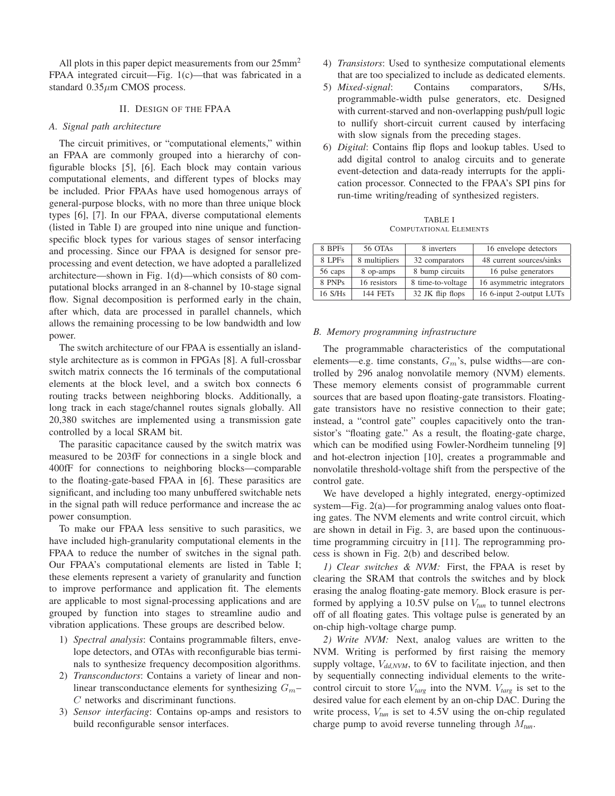All plots in this paper depict measurements from our  $25mm^2$ FPAA integrated circuit—Fig. 1(c)—that was fabricated in a standard  $0.35 \mu m$  CMOS process.

## II. DESIGN OF THE FPAA

### *A. Signal path architecture*

The circuit primitives, or "computational elements," within an FPAA are commonly grouped into a hierarchy of configurable blocks [5], [6]. Each block may contain various computational elements, and different types of blocks may be included. Prior FPAAs have used homogenous arrays of general-purpose blocks, with no more than three unique block types [6], [7]. In our FPAA, diverse computational elements (listed in Table I) are grouped into nine unique and functionspecific block types for various stages of sensor interfacing and processing. Since our FPAA is designed for sensor preprocessing and event detection, we have adopted a parallelized architecture—shown in Fig. 1(d)—which consists of 80 computational blocks arranged in an 8-channel by 10-stage signal flow. Signal decomposition is performed early in the chain, after which, data are processed in parallel channels, which allows the remaining processing to be low bandwidth and low power.

The switch architecture of our FPAA is essentially an islandstyle architecture as is common in FPGAs [8]. A full-crossbar switch matrix connects the 16 terminals of the computational elements at the block level, and a switch box connects 6 routing tracks between neighboring blocks. Additionally, a long track in each stage/channel routes signals globally. All 20,380 switches are implemented using a transmission gate controlled by a local SRAM bit.

The parasitic capacitance caused by the switch matrix was measured to be 203fF for connections in a single block and 400fF for connections to neighboring blocks—comparable to the floating-gate-based FPAA in [6]. These parasitics are significant, and including too many unbuffered switchable nets in the signal path will reduce performance and increase the ac power consumption.

To make our FPAA less sensitive to such parasitics, we have included high-granularity computational elements in the FPAA to reduce the number of switches in the signal path. Our FPAA's computational elements are listed in Table I; these elements represent a variety of granularity and function to improve performance and application fit. The elements are applicable to most signal-processing applications and are grouped by function into stages to streamline audio and vibration applications. These groups are described below.

- 1) *Spectral analysis*: Contains programmable filters, envelope detectors, and OTAs with reconfigurable bias terminals to synthesize frequency decomposition algorithms.
- 2) *Transconductors*: Contains a variety of linear and nonlinear transconductance elements for synthesizing  $G_m$ - $C$  networks and discriminant functions.
- 3) *Sensor interfacing*: Contains op-amps and resistors to build reconfigurable sensor interfaces.
- 4) *Transistors*: Used to synthesize computational elements that are too specialized to include as dedicated elements.
- 5) *Mixed-signal*: Contains comparators, S/Hs, programmable-width pulse generators, etc. Designed with current-starved and non-overlapping push/pull logic to nullify short-circuit current caused by interfacing with slow signals from the preceding stages.
- 6) *Digital*: Contains flip flops and lookup tables. Used to add digital control to analog circuits and to generate event-detection and data-ready interrupts for the application processor. Connected to the FPAA's SPI pins for run-time writing/reading of synthesized registers.

TABLE I COMPUTATIONAL ELEMENTS

| 8 BPFs  | 56 OTAs         | 8 inverters                                | 16 envelope detectors     |  |
|---------|-----------------|--------------------------------------------|---------------------------|--|
| 8 LPFs  | 8 multipliers   | 48 current sources/sinks<br>32 comparators |                           |  |
| 56 caps | 8 op-amps       | 8 bump circuits                            | 16 pulse generators       |  |
| 8 PNPs  | 16 resistors    | 8 time-to-voltage                          | 16 asymmetric integrators |  |
| 16 S/Hs | <b>144 FETs</b> | 32 JK flip flops                           | 16 6-input 2-output LUTs  |  |

# *B. Memory programming infrastructure*

The programmable characteristics of the computational elements—e.g. time constants,  $G_m$ 's, pulse widths—are controlled by 296 analog nonvolatile memory (NVM) elements. These memory elements consist of programmable current sources that are based upon floating-gate transistors. Floatinggate transistors have no resistive connection to their gate; instead, a "control gate" couples capacitively onto the transistor's "floating gate." As a result, the floating-gate charge, which can be modified using Fowler-Nordheim tunneling [9] and hot-electron injection [10], creates a programmable and nonvolatile threshold-voltage shift from the perspective of the control gate.

We have developed a highly integrated, energy-optimized system—Fig. 2(a)—for programming analog values onto floating gates. The NVM elements and write control circuit, which are shown in detail in Fig. 3, are based upon the continuoustime programming circuitry in [11]. The reprogramming process is shown in Fig. 2(b) and described below.

*1) Clear switches & NVM:* First, the FPAA is reset by clearing the SRAM that controls the switches and by block erasing the analog floating-gate memory. Block erasure is performed by applying a 10.5V pulse on  $V_{tun}$  to tunnel electrons off of all floating gates. This voltage pulse is generated by an on-chip high-voltage charge pump.

*2) Write NVM:* Next, analog values are written to the NVM. Writing is performed by first raising the memory supply voltage,  $V_{dd,NVM}$ , to 6V to facilitate injection, and then by sequentially connecting individual elements to the writecontrol circuit to store  $V_{targ}$  into the NVM.  $V_{targ}$  is set to the desired value for each element by an on-chip DAC. During the write process,  $V_{tun}$  is set to 4.5V using the on-chip regulated charge pump to avoid reverse tunneling through  $M_{tun}$ .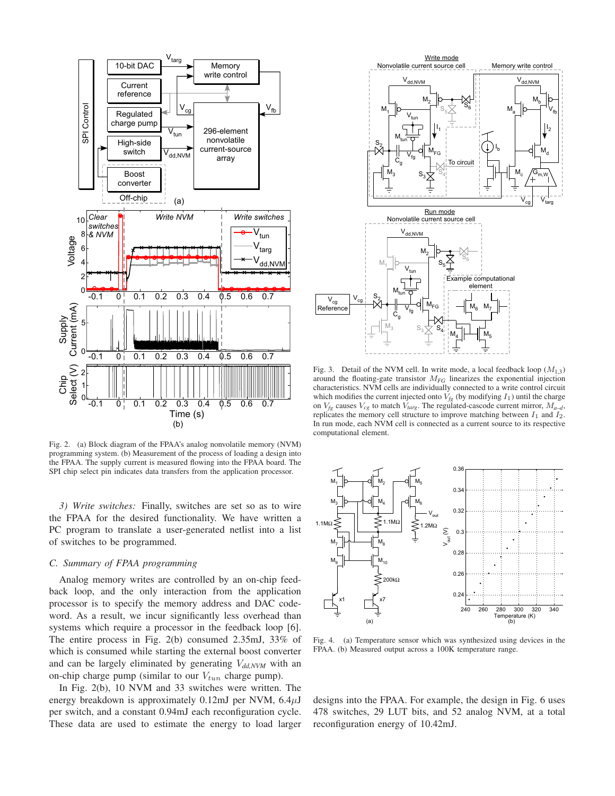

Fig. 2. (a) Block diagram of the FPAA's analog nonvolatile memory (NVM) programming system. (b) Measurement of the process of loading a design into the FPAA. The supply current is measured flowing into the FPAA board. The SPI chip select pin indicates data transfers from the application processor.

*3) Write switches:* Finally, switches are set so as to wire the FPAA for the desired functionality. We have written a PC program to translate a user-generated netlist into a list of switches to be programmed.

# *C. Summary of FPAA programming*

Analog memory writes are controlled by an on-chip feedback loop, and the only interaction from the application processor is to specify the memory address and DAC codeword. As a result, we incur significantly less overhead than systems which require a processor in the feedback loop [6]. The entire process in Fig. 2(b) consumed 2.35mJ, 33% of which is consumed while starting the external boost converter and can be largely eliminated by generating  $V_{dd,NVM}$  with an on-chip charge pump (similar to our  $V_{tun}$  charge pump).

In Fig. 2(b), 10 NVM and 33 switches were written. The energy breakdown is approximately 0.12mJ per NVM,  $6.4\mu$ J per switch, and a constant 0.94mJ each reconfiguration cycle. These data are used to estimate the energy to load larger



Fig. 3. Detail of the NVM cell. In write mode, a local feedback loop  $(M_{1,3})$ around the floating-gate transistor  $M_{FG}$  linearizes the exponential injection characteristics. NVM cells are individually connected to a write control circuit which modifies the current injected onto  $V_{fg}$  (by modifying  $I_1$ ) until the charge on  $V_{fg}$  causes  $V_{cg}$  to match  $V_{targ}$ . The regulated-cascode current mirror,  $M_{a-d}$ , replicates the memory cell structure to improve matching between  $I_1$  and  $I_2$ . In run mode, each NVM cell is connected as a current source to its respective computational element.



Fig. 4. (a) Temperature sensor which was synthesized using devices in the FPAA. (b) Measured output across a 100K temperature range.

designs into the FPAA. For example, the design in Fig. 6 uses 478 switches, 29 LUT bits, and 52 analog NVM, at a total reconfiguration energy of 10.42mJ.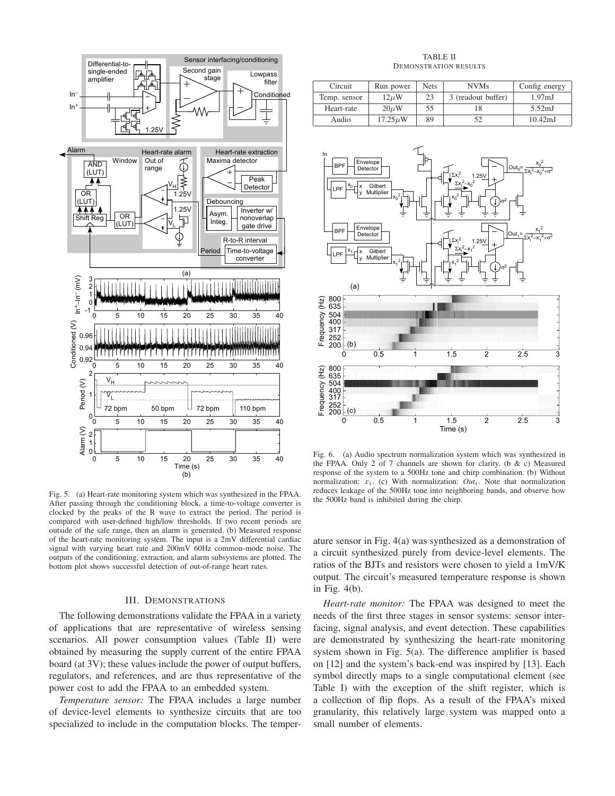

Fig. 5. (a) Heart-rate monitoring system which was synthesized in the FPAA. After passing through the conditioning block, a time-to-voltage converter is clocked by the peaks of the R wave to extract the period. The period is compared with user-defined high/low thresholds. If two recent periods are outside of the safe range, then an alarm is generated. (b) Measured response of the heart-rate monitoring system. The input is a 2mV differential cardiac signal with varying heart rate and 200mV 60Hz common-mode noise. The outputs of the conditioning, extraction, and alarm subsystems are plotted. The bottom plot shows successful detection of out-of-range heart rates.

#### III. DEMONSTRATIONS

The following demonstrations validate the FPAA in a variety of applications that are representative of wireless sensing scenarios. All power consumption values (Table II) were obtained by measuring the supply current of the entire FPAA board (at 3V); these values include the power of output buffers, regulators, and references, and are thus representative of the power cost to add the FPAA to an embedded system.

*Temperature sensor:* The FPAA includes a large number of device-level elements to synthesize circuits that are too specialized to include in the computation blocks. The temper-

#### TABLE II DEMONSTRATION RESULTS

| Circuit      | Run power    | <b>Nets</b> | <b>NVMs</b>        | Config energy       |
|--------------|--------------|-------------|--------------------|---------------------|
| Temp. sensor | $12 \mu W$   | 23          | 3 (readout buffer) | 1.97 <sub>m</sub> J |
| Heart-rate   | $20 \mu W$   | 55          |                    | $5.52 \text{mJ}$    |
| Audio        | $17.25\mu$ W | 89          | 52                 | $10.42 \text{mJ}$   |



Fig. 6. (a) Audio spectrum normalization system which was synthesized in the FPAA. Only 2 of 7 channels are shown for clarity. (b & c) Measured response of the system to a 500Hz tone and chirp combination. (b) Without normalization:  $x_i$ . (c) With normalization:  $Out_i$ . Note that normalization reduces leakage of the 500Hz tone into neighboring bands, and observe how the 500Hz band is inhibited during the chirp.

ature sensor in Fig. 4(a) was synthesized as a demonstration of a circuit synthesized purely from device-level elements. The ratios of the BJTs and resistors were chosen to yield a 1mV/K output. The circuit's measured temperature response is shown in Fig. 4(b).

*Heart-rate monitor:* The FPAA was designed to meet the needs of the first three stages in sensor systems: sensor interfacing, signal analysis, and event detection. These capabilities are demonstrated by synthesizing the heart-rate monitoring system shown in Fig. 5(a). The difference amplifier is based on [12] and the system's back-end was inspired by [13]. Each symbol directly maps to a single computational element (see Table I) with the exception of the shift register, which is a collection of flip flops. As a result of the FPAA's mixed granularity, this relatively large system was mapped onto a small number of elements.